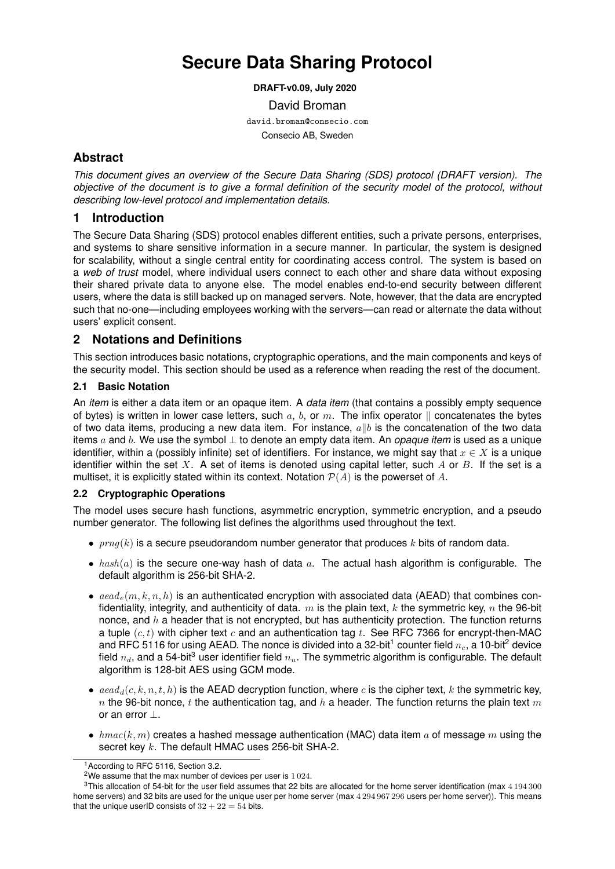# **Secure Data Sharing Protocol**

**DRAFT-v0.09, July 2020**

David Broman

david.broman@consecio.com Consecio AB, Sweden

# **Abstract**

*This document gives an overview of the Secure Data Sharing (SDS) protocol (DRAFT version). The objective of the document is to give a formal definition of the security model of the protocol, without describing low-level protocol and implementation details.*

# **1 Introduction**

The Secure Data Sharing (SDS) protocol enables different entities, such a private persons, enterprises, and systems to share sensitive information in a secure manner. In particular, the system is designed for scalability, without a single central entity for coordinating access control. The system is based on a *web of trust* model, where individual users connect to each other and share data without exposing their shared private data to anyone else. The model enables end-to-end security between different users, where the data is still backed up on managed servers. Note, however, that the data are encrypted such that no-one—including employees working with the servers—can read or alternate the data without users' explicit consent.

# **2 Notations and Definitions**

This section introduces basic notations, cryptographic operations, and the main components and keys of the security model. This section should be used as a reference when reading the rest of the document.

## **2.1 Basic Notation**

An *item* is either a data item or an opaque item. A *data item* (that contains a possibly empty sequence of bytes) is written in lower case letters, such  $a, b,$  or  $m$ . The infix operator  $\parallel$  concatenates the bytes of two data items, producing a new data item. For instance,  $a||b$  is the concatenation of the two data items a and b. We use the symbol ⊥ to denote an empty data item. An *opaque item* is used as a unique identifier, within a (possibly infinite) set of identifiers. For instance, we might say that  $x \in X$  is a unique identifier within the set X. A set of items is denoted using capital letter, such A or B. If the set is a multiset, it is explicitly stated within its context. Notation  $P(A)$  is the powerset of A.

### **2.2 Cryptographic Operations**

The model uses secure hash functions, asymmetric encryption, symmetric encryption, and a pseudo number generator. The following list defines the algorithms used throughout the text.

- $prng(k)$  is a secure pseudorandom number generator that produces k bits of random data.
- $hash(a)$  is the secure one-way hash of data a. The actual hash algorithm is configurable. The default algorithm is 256-bit SHA-2.
- $aead<sub>e</sub>(m, k, n, h)$  is an authenticated encryption with associated data (AEAD) that combines confidentiality, integrity, and authenticity of data.  $m$  is the plain text, k the symmetric key, n the 96-bit nonce, and  $h$  a header that is not encrypted, but has authenticity protection. The function returns a tuple  $(c, t)$  with cipher text c and an authentication tag t. See RFC 7366 for encrypt-then-MAC and RFC 5116 for using AEAD. The nonce is divided into a 32-bit<sup>1</sup> counter field  $n_c$ , a 10-bit<sup>2</sup> device field  $n_d$ , and a 54-bit<sup>3</sup> user identifier field  $n_u$ . The symmetric algorithm is configurable. The default algorithm is 128-bit AES using GCM mode.
- $\alpha = \alpha d_d(c, k, n, t, h)$  is the AEAD decryption function, where c is the cipher text, k the symmetric key, n the 96-bit nonce, t the authentication tag, and h a header. The function returns the plain text m or an error ⊥.
- $hmac(k, m)$  creates a hashed message authentication (MAC) data item a of message m using the secret key k. The default HMAC uses 256-bit SHA-2.

<sup>1</sup>According to RFC 5116, Section 3.2.

<sup>&</sup>lt;sup>2</sup>We assume that the max number of devices per user is  $1024$ .

<sup>&</sup>lt;sup>3</sup>This allocation of 54-bit for the user field assumes that 22 bits are allocated for the home server identification (max 4194 300 home servers) and 32 bits are used for the unique user per home server (max 4 294 967 296 users per home server)). This means that the unique userID consists of  $32 + 22 = 54$  bits.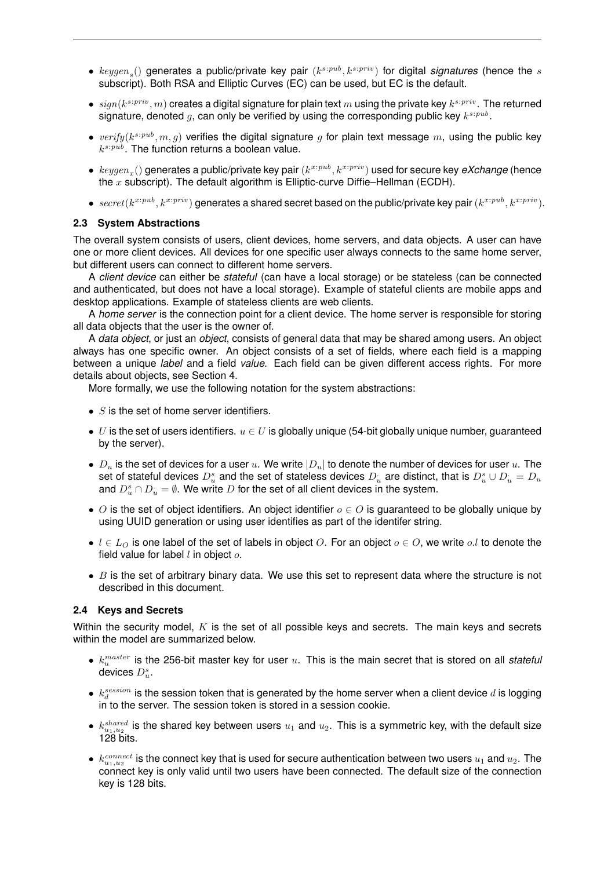- $keygen_s()$  generates a public/private key pair  $(k^{s:pub}, k^{s:priv})$  for digital *signatures* (hence the s subscript). Both RSA and Elliptic Curves (EC) can be used, but EC is the default.
- $sign(k^{s:priv}, m)$  creates a digital signature for plain text  $m$  using the private key  $k^{s:priv}$  . The returned signature, denoted  $g$ , can only be verified by using the corresponding public key  $k^{s:pub}$ .
- $verify(k^{s:pub}, m, g)$  verifies the digital signature g for plain text message m, using the public key  $k^{s:pub}$ . The function returns a boolean value.
- $\bullet\; \; keygen_x()$  generates a public/private key pair  $(k^{x:pub}, k^{x:priv})$  used for secure key *eXchange* (hence the  $x$  subscript). The default algorithm is Elliptic-curve Diffie–Hellman (ECDH).
- $secret(k^{x:pub}, k^{x:priv})$  generates a shared secret based on the public/private key pair  $(k^{x:pub}, k^{x:priv})$ .

#### **2.3 System Abstractions**

The overall system consists of users, client devices, home servers, and data objects. A user can have one or more client devices. All devices for one specific user always connects to the same home server, but different users can connect to different home servers.

A *client device* can either be *stateful* (can have a local storage) or be stateless (can be connected and authenticated, but does not have a local storage). Example of stateful clients are mobile apps and desktop applications. Example of stateless clients are web clients.

A *home server* is the connection point for a client device. The home server is responsible for storing all data objects that the user is the owner of.

A *data object*, or just an *object*, consists of general data that may be shared among users. An object always has one specific owner. An object consists of a set of fields, where each field is a mapping between a unique *label* and a field *value*. Each field can be given different access rights. For more details about objects, see Section 4.

More formally, we use the following notation for the system abstractions:

- $S$  is the set of home server identifiers.
- U is the set of users identifiers.  $u \in U$  is globally unique (54-bit globally unique number, guaranteed by the server).
- $D_u$  is the set of devices for a user u. We write  $|D_u|$  to denote the number of devices for user u. The set of stateful devices  $D_u^s$  and the set of stateless devices  $D_u^+$  are distinct, that is  $D_u^s\cup D_u^+=D_u^s$ and  $D_u^s\cap D_u^{\cdot}=\emptyset.$  We write  $D$  for the set of all client devices in the system.
- O is the set of object identifiers. An object identifier  $o \in O$  is guaranteed to be globally unique by using UUID generation or using user identifies as part of the identifer string.
- $l \in L<sub>O</sub>$  is one label of the set of labels in object O. For an object  $o \in O$ , we write o.l to denote the field value for label  $l$  in object  $o$ .
- $\bullet$  B is the set of arbitrary binary data. We use this set to represent data where the structure is not described in this document.

#### **2.4 Keys and Secrets**

Within the security model,  $K$  is the set of all possible keys and secrets. The main keys and secrets within the model are summarized below.

- $\bullet$   $k_u^{master}$  is the 256-bit master key for user  $u$ . This is the main secret that is stored on all stateful devices  $D_u^s$ .
- $\bullet$   $\,k_{d}^{session}$  is the session token that is generated by the home server when a client device  $d$  is logging in to the server. The session token is stored in a session cookie.
- $k_{u_1, u_2}^{shared}$  is the shared key between users  $u_1$  and  $u_2$ . This is a symmetric key, with the default size 128 bits.
- $\bullet \; k_{u_1, u_2}^{connect}$  is the connect key that is used for secure authentication between two users  $u_1$  and  $u_2$ . The connect key is only valid until two users have been connected. The default size of the connection key is 128 bits.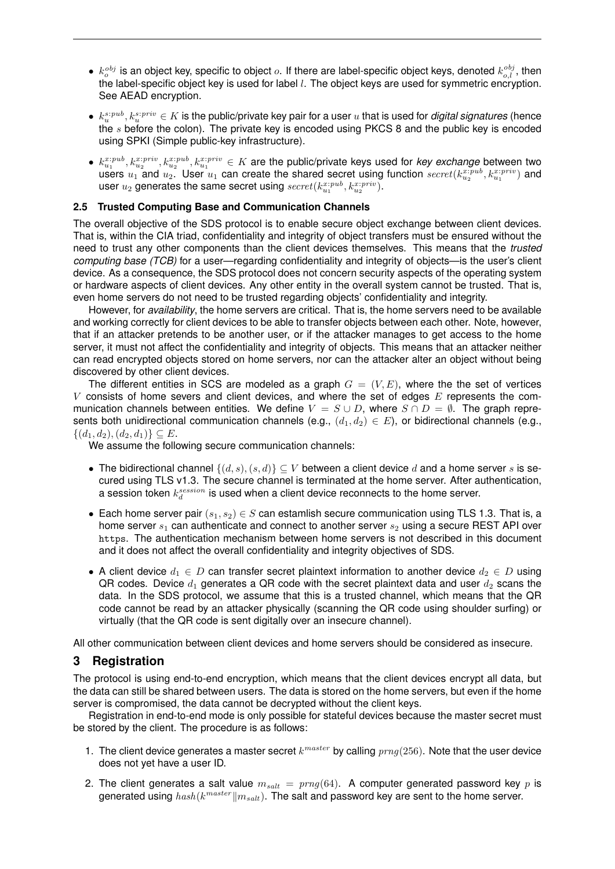- $k_o^{obj}$  is an object key, specific to object  $o$ . If there are label-specific object keys, denoted  $k_{o,l}^{obj}$ , then the label-specific object key is used for label  $l$ . The object keys are used for symmetric encryption. See AEAD encryption.
- $\bullet\;k^{s:pub}_{u},k^{s:priv}_{u}\in K$  is the public/private key pair for a user  $u$  that is used for *digital signatures* (hence the  $s$  before the colon). The private key is encoded using PKCS 8 and the public key is encoded using SPKI (Simple public-key infrastructure).
- $k_{u_1}^{x:pub}, k_{u_2}^{x:priv}, k_{u_2}^{x:pub}, k_{u_1}^{x:priv} \in K$  are the public/private keys used for *key exchange* between two users  $u_1$  and  $u_2$ . User  $u_1$  can create the shared secret using function  $secret(k_{u_2}^{x:pub}, k_{u_1}^{x:priv})$  and user  $u_2$  generates the same secret using  $secret(k_{u_1}^{x:pub}, k_{u_2}^{x:priv}).$

#### **2.5 Trusted Computing Base and Communication Channels**

The overall objective of the SDS protocol is to enable secure object exchange between client devices. That is, within the CIA triad, confidentiality and integrity of object transfers must be ensured without the need to trust any other components than the client devices themselves. This means that the *trusted computing base (TCB)* for a user—regarding confidentiality and integrity of objects—is the user's client device. As a consequence, the SDS protocol does not concern security aspects of the operating system or hardware aspects of client devices. Any other entity in the overall system cannot be trusted. That is, even home servers do not need to be trusted regarding objects' confidentiality and integrity.

However, for *availability*, the home servers are critical. That is, the home servers need to be available and working correctly for client devices to be able to transfer objects between each other. Note, however, that if an attacker pretends to be another user, or if the attacker manages to get access to the home server, it must not affect the confidentiality and integrity of objects. This means that an attacker neither can read encrypted objects stored on home servers, nor can the attacker alter an object without being discovered by other client devices.

The different entities in SCS are modeled as a graph  $G = (V, E)$ , where the the set of vertices V consists of home severs and client devices, and where the set of edges  $E$  represents the communication channels between entities. We define  $V = S \cup D$ , where  $S \cap D = \emptyset$ . The graph represents both unidirectional communication channels (e.g.,  $(d_1, d_2) \in E$ ), or bidirectional channels (e.g.,  $\{(d_1, d_2), (d_2, d_1)\}\subseteq E.$ 

We assume the following secure communication channels:

- The bidirectional channel  $\{(d, s), (s, d)\}\subseteq V$  between a client device d and a home server s is secured using TLS v1.3. The secure channel is terminated at the home server. After authentication, a session token  $k_d^{session}$  is used when a client device reconnects to the home server.
- Each home server pair  $(s_1, s_2) \in S$  can estamlish secure communication using TLS 1.3. That is, a home server  $s_1$  can authenticate and connect to another server  $s_2$  using a secure REST API over https. The authentication mechanism between home servers is not described in this document and it does not affect the overall confidentiality and integrity objectives of SDS.
- A client device  $d_1 \in D$  can transfer secret plaintext information to another device  $d_2 \in D$  using QR codes. Device  $d_1$  generates a QR code with the secret plaintext data and user  $d_2$  scans the data. In the SDS protocol, we assume that this is a trusted channel, which means that the QR code cannot be read by an attacker physically (scanning the QR code using shoulder surfing) or virtually (that the QR code is sent digitally over an insecure channel).

All other communication between client devices and home servers should be considered as insecure.

### **3 Registration**

The protocol is using end-to-end encryption, which means that the client devices encrypt all data, but the data can still be shared between users. The data is stored on the home servers, but even if the home server is compromised, the data cannot be decrypted without the client keys.

Registration in end-to-end mode is only possible for stateful devices because the master secret must be stored by the client. The procedure is as follows:

- 1. The client device generates a master secret  $k^{master}$  by calling  $prng(256)$ . Note that the user device does not yet have a user ID.
- 2. The client generates a salt value  $m_{salt} = prng(64)$ . A computer generated password key p is generated using  $\mathit{hash}(k^{master} \| m_{salt})$ . The salt and password key are sent to the home server.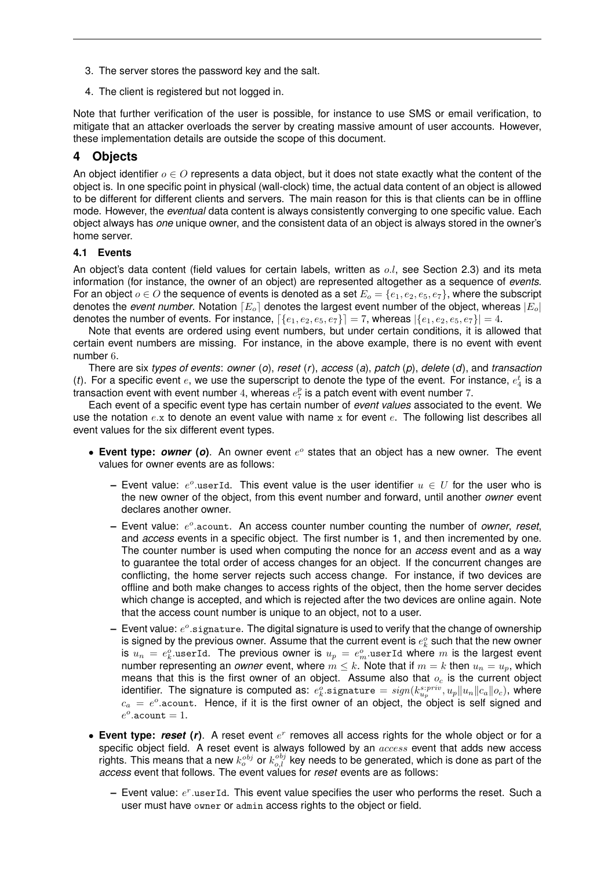- 3. The server stores the password key and the salt.
- 4. The client is registered but not logged in.

Note that further verification of the user is possible, for instance to use SMS or email verification, to mitigate that an attacker overloads the server by creating massive amount of user accounts. However, these implementation details are outside the scope of this document.

# **4 Objects**

An object identifier  $o \in O$  represents a data object, but it does not state exactly what the content of the object is. In one specific point in physical (wall-clock) time, the actual data content of an object is allowed to be different for different clients and servers. The main reason for this is that clients can be in offline mode. However, the *eventual* data content is always consistently converging to one specific value. Each object always has *one* unique owner, and the consistent data of an object is always stored in the owner's home server.

### **4.1 Events**

An object's data content (field values for certain labels, written as  $o.l$ , see Section 2.3) and its meta information (for instance, the owner of an object) are represented altogether as a sequence of *events*. For an object  $o \in O$  the sequence of events is denoted as a set  $E_o = \{e_1, e_2, e_5, e_7\}$ , where the subscript denotes the *event number*. Notation  $\lceil E_{o} \rceil$  denotes the largest event number of the object, whereas  $|E_{o}|$ denotes the number of events. For instance,  $[\{e_1, e_2, e_5, e_7\}] = 7$ , whereas  $|\{e_1, e_2, e_5, e_7\}| = 4$ .

Note that events are ordered using event numbers, but under certain conditions, it is allowed that certain event numbers are missing. For instance, in the above example, there is no event with event number 6.

There are six *types of events*: *owner* (*o*), *reset* (*r*), *access* (*a*), *patch* (*p*), *delete* (*d*), and *transaction* (*t*). For a specific event  $e$ , we use the superscript to denote the type of the event. For instance,  $e_4^t$  is a transaction event with event number 4, whereas  $e_7^p$  is a patch event with event number 7.

Each event of a specific event type has certain number of *event values* associated to the event. We use the notation  $e.x$  to denote an event value with name  $x$  for event  $e.$  The following list describes all event values for the six different event types.

- Event type: owner (o). An owner event  $e^o$  states that an object has a new owner. The event values for owner events are as follows:
	- $-$  Event value:  $e^o$  userId. This event value is the user identifier  $u \in U$  for the user who is the new owner of the object, from this event number and forward, until another *owner* event declares another owner.
	- $-$  Event value:  $e^o$  acount. An access counter number counting the number of *owner*, *reset*, and *access* events in a specific object. The first number is 1, and then incremented by one. The counter number is used when computing the nonce for an *access* event and as a way to guarantee the total order of access changes for an object. If the concurrent changes are conflicting, the home server rejects such access change. For instance, if two devices are offline and both make changes to access rights of the object, then the home server decides which change is accepted, and which is rejected after the two devices are online again. Note that the access count number is unique to an object, not to a user.
	- Event value:  $e^o$ .signature. The digital signature is used to verify that the change of ownership is signed by the previous owner. Assume that the current event is  $e^o_k$  such that the new owner is  $u_n\,=\,e^o_k.$ userId. The previous owner is  $u_p\,=\,e^o_m.$ userId where  $m$  is the largest event number representing an *owner* event, where  $m \leq k$ . Note that if  $m = k$  then  $u_n = u_p$ , which means that this is the first owner of an object. Assume also that  $o<sub>c</sub>$  is the current object identifier. The signature is computed as:  $e^o_k.$ signature  $= \textit{sign}(k^{s:priv}_{u_p}, u_p \| u_n \| c_a \| o_c)$ , where  $c_a = e^o$  acount. Hence, if it is the first owner of an object, the object is self signed and  $e^o$ .acount = 1.
- Event type: reset (r). A reset event  $e^r$  removes all access rights for the whole object or for a specific object field. A reset event is always followed by an *access* event that adds new access rights. This means that a new  $k_o^{obj}$  or  $k_{o,l}^{obj}$  key needs to be generated, which is done as part of the *access* event that follows. The event values for *reset* events are as follows:
	- **–** Event value:  $e^r$  userId. This event value specifies the user who performs the reset. Such a user must have owner or admin access rights to the object or field.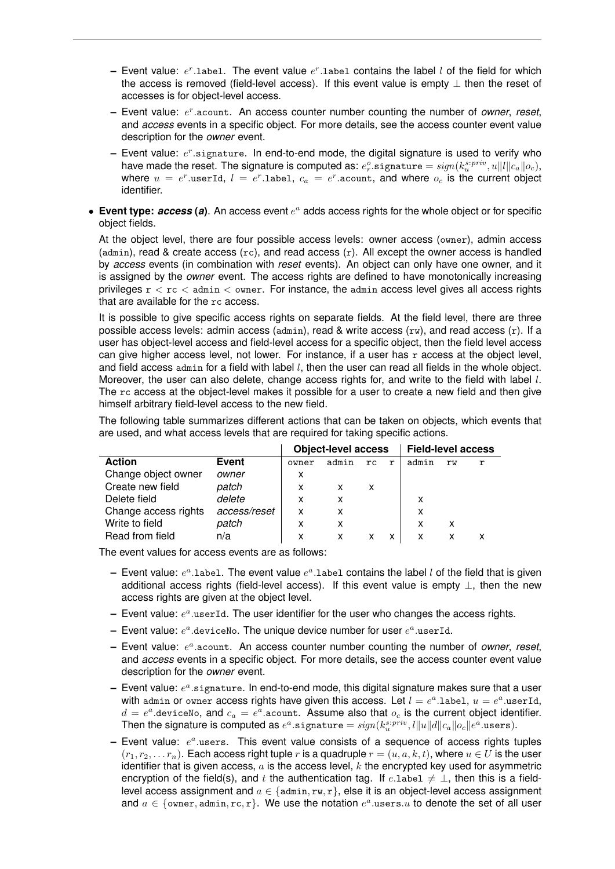- $-$  Event value:  $e^r$ .label. The event value  $e^r$ .label contains the label  $l$  of the field for which the access is removed (field-level access). If this event value is empty  $\perp$  then the reset of accesses is for object-level access.
- $-$  Event value:  $e^r$  acount. An access counter number counting the number of *owner*, *reset*, and *access* events in a specific object. For more details, see the access counter event value description for the *owner* event.
- Event value:  $e^r$  signature. In end-to-end mode, the digital signature is used to verify who have made the reset. The signature is computed as:  $e_r^o.$ signature  $= sign(k_u^{s:priv}, u\|l\|c_a\|o_c),$ where  $u\ =\ e^r.$ userId,  $l\ =\ e^r.$ label,  $c_a\ =\ e^r.$ acount, and where  $o_c$  is the current object identifier.
- Event type: *access* (a). An access event  $e^a$  adds access rights for the whole object or for specific object fields.

At the object level, there are four possible access levels: owner access (owner), admin access (admin), read & create access  $(rc)$ , and read access  $(r)$ . All except the owner access is handled by *access* events (in combination with *reset* events). An object can only have one owner, and it is assigned by the *owner* event. The access rights are defined to have monotonically increasing privileges  $r < r c <$  admin  $\lt$  owner. For instance, the admin access level gives all access rights that are available for the rc access.

It is possible to give specific access rights on separate fields. At the field level, there are three possible access levels: admin access (admin), read & write access  $(rw)$ , and read access  $(r)$ . If a user has object-level access and field-level access for a specific object, then the field level access can give higher access level, not lower. For instance, if a user has r access at the object level, and field access  $\alpha$ dmin for a field with label  $l$ , then the user can read all fields in the whole object. Moreover, the user can also delete, change access rights for, and write to the field with label l. The rc access at the object-level makes it possible for a user to create a new field and then give himself arbitrary field-level access to the new field.

The following table summarizes different actions that can be taken on objects, which events that are used, and what access levels that are required for taking specific actions.

|                      |              | <b>Object-level access</b> |       |     |             | <b>Field-level access</b> |    |   |
|----------------------|--------------|----------------------------|-------|-----|-------------|---------------------------|----|---|
| <b>Action</b>        | <b>Event</b> | owner                      | admin | rc. | $\mathbf r$ | admin                     | rw | r |
| Change object owner  | owner        | x                          |       |     |             |                           |    |   |
| Create new field     | patch        | x                          | X     | x   |             |                           |    |   |
| Delete field         | delete       | X                          | x     |     |             | x                         |    |   |
| Change access rights | access/reset | x                          | x     |     |             | X                         |    |   |
| Write to field       | patch        | x                          | X     |     |             | x                         | x  |   |
| Read from field      | n/a          |                            |       |     | x           | x                         | x  |   |

The event values for access events are as follows:

- $-$  Event value:  $e^a$ .label. The event value  $e^a$ .label contains the label *l* of the field that is given additional access rights (field-level access). If this event value is empty ⊥, then the new access rights are given at the object level.
- $-$  Event value:  $e^a$  user Id. The user identifier for the user who changes the access rights.
- $-$  Event value:  $e^a$  deviceNo. The unique device number for user  $e^a$  userId.
- $-$  Event value:  $e^a$  acount. An access counter number counting the number of *owner*, *reset*, and *access* events in a specific object. For more details, see the access counter event value description for the *owner* event.
- $-$  Event value:  $e^a$  signature. In end-to-end mode, this digital signature makes sure that a user with admin or owner access rights have given this access. Let  $l=e^a.$ label,  $u=e^a.$ userId,  $d\,=\,e^a.$ deviceNo, and  $c_a\,=\,e^a.$ acount. Assume also that  $o_c$  is the current object identifier. Then the signature is computed as  $e^a.$ signature  $= sign(k^{s:priv}_{u}, l\|u\|d\|c_a\|o_c\|e^a.$ users).
- $-$  Event value:  $e^a$  users. This event value consists of a sequence of access rights tuples  $(r_1, r_2, \ldots r_n)$ . Each access right tuple r is a quadruple  $r = (u, a, k, t)$ , where  $u \in U$  is the user identifier that is given access,  $a$  is the access level,  $k$  the encrypted key used for asymmetric encryption of the field(s), and t the authentication tag. If e.label  $\neq \perp$ , then this is a fieldlevel access assignment and  $a \in \{$ admin, rw, r $\}$ , else it is an object-level access assignment and  $a \in \{\mathtt{own},\mathtt{admin},\mathtt{rc},\mathtt{r}\}.$  We use the notation  $e^a.$ users. $u$  to denote the set of all user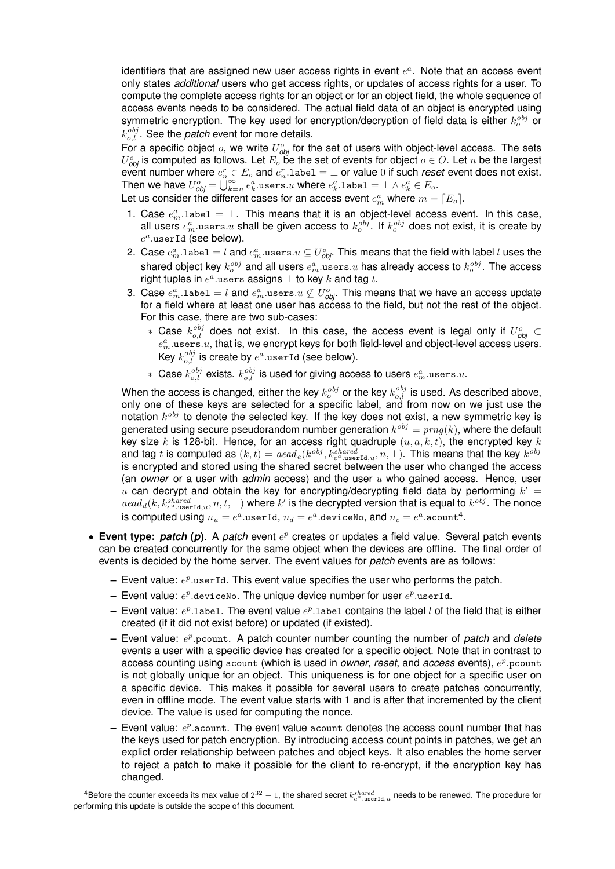identifiers that are assigned new user access rights in event  $e^a$ . Note that an access event only states *additional* users who get access rights, or updates of access rights for a user. To compute the complete access rights for an object or for an object field, the whole sequence of access events needs to be considered. The actual field data of an object is encrypted using symmetric encryption. The key used for encryption/decryption of field data is either  $k_o^{obj}$  or  $k_{o,l}^{obj}$ . See the *patch* event for more details.

For a specific object  $o$ , we write  $U_{obj}^o$  for the set of users with object-level access. The sets  $U_{\textit{obj}}^o$  is computed as follows. Let  $E_o$  be the set of events for object  $o \in O.$  Let  $n$  be the largest event number where  $e_n^r \in E_o$  and  $e_n^r$ . Label  $= \bot$  or value 0 if such *reset* event does not exist. Then we have  $U_{\textit{obj}}^{o} = \bigcup_{k=n}^{\infty} e_k^a.$ users. $u$  where  $e_k^a.$ label  $= \bot \wedge e_k^a \in E_o.$ 

Let us consider the different cases for an access event  $e^a_m$  where  $m = \lceil E_o \rceil.$ 

- 1. Case  $e_m^a$  label  $= \perp$ . This means that it is an object-level access event. In this case, all users  $e^a_m.$ use $\texttt{rs}.u$  shall be given access to  $k_o^{obj}.$  If  $k_o^{obj}$  does not exist, it is create by  $e^a$ .userId (see below).
- 2. Case  $e^a_m.$ labe $1=l$  and  $e^a_m.$ users. $u\subseteq U^o_{\bm\phi \bm b^i}$ . This means that the field with label  $l$  uses the shared object key  $k_o^{obj}$  and all users  $e_m^a.$ use ${\tt rs}.u$  has already access to  $k_o^{obj}.$  The access right tuples in  $e^a.$ users assigns  $\bot$  to key  $k$  and tag  $t.$
- 3. Case  $e^a_m.$ labe $1=l$  and  $e^a_m.$ users. $u \not\subseteq U^o_{\bm{obj}}.$  This means that we have an access update for a field where at least one user has access to the field, but not the rest of the object. For this case, there are two sub-cases:
	- \* Case  $k_{o,l}^{obj}$  does not exist. In this case, the access event is legal only if  $U_{obj}^o \subset$  $e_m^a$  users. $u$ , that is, we encrypt keys for both field-level and object-level access users. Key  $k_{o,l}^{obj}$  is create by  $e^a.$ userId (see below).
	- $*$  Case  $k_{o,l}^{obj}$  exists.  $k_{o,l}^{obj}$  is used for giving access to users  $e_m^a.$ use ${\rm rs.}u.$

When the access is changed, either the key  $k_o^{obj}$  or the key  $k_{o,l}^{obj}$  is used. As described above, only one of these keys are selected for a specific label, and from now on we just use the notation  $k^{obj}$  to denote the selected key. If the key does not exist, a new symmetric key is generated using secure pseudorandom number generation  $k^{obj} = prng(k)$ , where the default key size k is 128-bit. Hence, for an access right quadruple  $(u, a, k, t)$ , the encrypted key k and tag t is computed as  $(k,t)=\textit{aead}_e(k^{obj},k^{shared}_{e^a.\text{userId},u},n,\bot).$  This means that the key  $k^{obj}$ is encrypted and stored using the shared secret between the user who changed the access (an *owner* or a user with *admin* access) and the user u who gained access. Hence, user u can decrypt and obtain the key for encrypting/decrypting field data by performing  $k' =$  $\{dead_d(k, k_{e^a \text{.userId}, u}^{shared}, n, t, \perp)$  where  $k'$  is the decrypted version that is equal to  $k^{obj}$ . The nonce is computed using  $n_u = e^a.$ userId,  $n_d = e^a.$ deviceNo, and  $n_c = e^a.$ acount $^4.$ 

- Event type: patch (p). A patch event  $e^p$  creates or updates a field value. Several patch events can be created concurrently for the same object when the devices are offline. The final order of events is decided by the home server. The event values for *patch* events are as follows:
	- **–** Event value:  $e^p$  userId. This event value specifies the user who performs the patch.
	- $-$  Event value:  $e^p$  deviceNo. The unique device number for user  $e^p$  userId.
	- $-$  Event value:  $e^p$ .label. The event value  $e^p$ .label contains the label *l* of the field that is either created (if it did not exist before) or updated (if existed).
	- $-$  Event value:  $e^p$  pcount. A patch counter number counting the number of *patch* and *delete* events a user with a specific device has created for a specific object. Note that in contrast to access counting using acount (which is used in *owner, reset,* and *access* events),  $e^p$  pcount is not globally unique for an object. This uniqueness is for one object for a specific user on a specific device. This makes it possible for several users to create patches concurrently, even in offline mode. The event value starts with 1 and is after that incremented by the client device. The value is used for computing the nonce.
	- Event value:  $e^p$  acount. The event value acount denotes the access count number that has the keys used for patch encryption. By introducing access count points in patches, we get an explict order relationship between patches and object keys. It also enables the home server to reject a patch to make it possible for the client to re-encrypt, if the encryption key has changed.

<sup>&</sup>lt;sup>4</sup>Before the counter exceeds its max value of  $2^{32} - 1$ , the shared secret  $k_{e^a.\text{userId},u}^{shared}$  needs to be renewed. The procedure for performing this update is outside the scope of this document.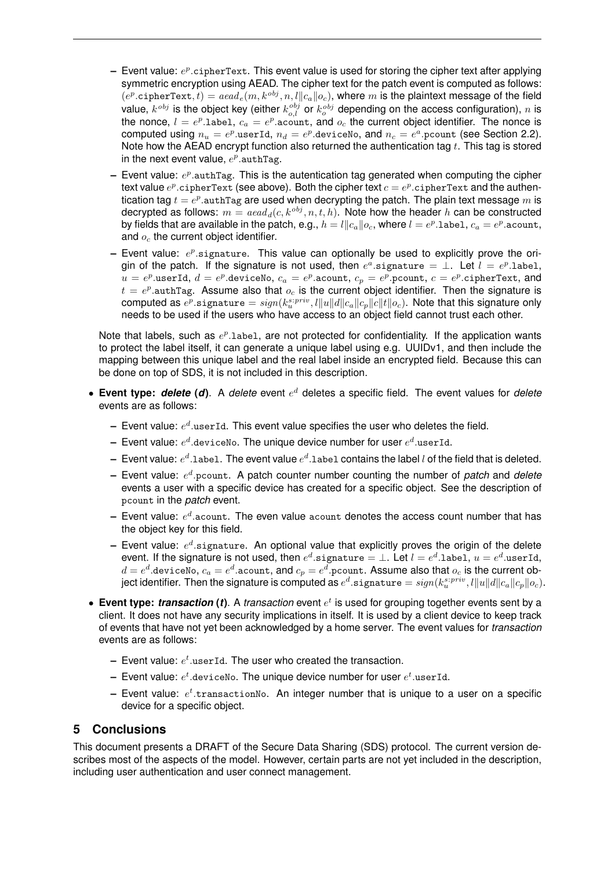- Event value:  $e^p$ .cipherText. This event value is used for storing the cipher text after applying symmetric encryption using AEAD. The cipher text for the patch event is computed as follows:  $(e^p.\texttt{ciphertext}, t) = \textit{aead}_e(m, k^{obj}, n, l \| c_a \| o_c),$  where  $m$  is the plaintext message of the field value,  $k^{obj}$  is the object key (either  $k^{obj}_{o,l}$  or  $k^{obj}_{o}$  depending on the access configuration),  $n$  is the nonce,  $l = e^p$ .1abe1,  $c_a = e^p$ .acount, and  $o_c$  the current object identifier. The nonce is computed using  $n_u = e^p$ .userId,  $n_d = e^p$ .deviceNo, and  $n_c = e^a$ .pcount (see Section 2.2). Note how the AEAD encrypt function also returned the authentication tag  $t$ . This tag is stored in the next event value,  $e^p$  authTag.
- Event value:  $e^p$  authTag. This is the autentication tag generated when computing the cipher text value  $e^p.$ cipherText (see above). Both the cipher text  $c = e^p.$ cipherText and the authentication tag  $t=e^p.$ authTag are used when decrypting the patch. The plain text message  $m$  is decrypted as follows:  $m = a e a d_d(c, k^{obj}, n, t, h)$ . Note how the header h can be constructed by fields that are available in the patch, e.g.,  $h=l\|c_a\|o_c,$  where  $l=e^p.$  label,  $c_a=e^p.$ acount, and  $o<sub>c</sub>$  the current object identifier.
- Event value:  $e^p$  signature. This value can optionally be used to explicitly prove the origin of the patch. If the signature is not used, then  $e^a.$ signature =  $\bot$ . Let  $l\,=\,e^p.$ label,  $u = e^p.$ userId,  $d = e^p.$ deviceNo,  $c_a = e^p.$ acount,  $c_p = e^p.$ pcount,  $c = e^p.$ cipherText, <code>and</code>  $t = e^p$  authTag. Assume also that  $o_c$  is the current object identifier. Then the signature is computed as  $e^p.$ signature  $= sign(k^{s:priv}_{u}, l\|u\|d\|c_a\|c_p\|c\|t\|o_c).$  Note that this signature only needs to be used if the users who have access to an object field cannot trust each other.

Note that labels, such as  $e^p$ .1abe1, are not protected for confidentiality. If the application wants to protect the label itself, it can generate a unique label using e.g. UUIDv1, and then include the mapping between this unique label and the real label inside an encrypted field. Because this can be done on top of SDS, it is not included in this description.

- **Event type:** *delete* **(***d***)**. A *delete* event e <sup>d</sup> deletes a specific field. The event values for *delete* events are as follows:
	- $-$  Event value:  $e^d$  userId. This event value specifies the user who deletes the field.
	- $-$  Event value:  $e^d.$ deviceNo. The unique device number for user  $e^d.$ userId.
	- $-$  Event value:  $e^d.$ label. The event value  $e^d.$ label contains the label  $l$  of the field that is deleted.
	- **–** Event value: e d .pcount. A patch counter number counting the number of *patch* and *delete* events a user with a specific device has created for a specific object. See the description of pcount in the *patch* event.
	- $-$  Event value:  $e^d.$ acount. The even value acount denotes the access count number that has the object key for this field.
	- $-$  Event value:  $e^d$  signature. An optional value that explicitly proves the origin of the delete event. If the signature is not used, then  $e^d.$ signature  $=\bot.$  Let  $l=e^d.$ label,  $u=e^d.$ userId,  $d=e^d.$ deviceNo,  $c_a=e^d.$ acount, and  $c_p=e^d.$ pcount. Assume also that  $o_c$  is the current object identifier. Then the signature is computed as  $e^d.$ signature  $= sign(k^{s:priv}_{u}, l\|u\|d\|c_{a}\|c_{p}\|o_{c}).$
- Event type: *transaction* (*t*). A *transaction* event  $e^t$  is used for grouping together events sent by a client. It does not have any security implications in itself. It is used by a client device to keep track of events that have not yet been acknowledged by a home server. The event values for *transaction* events are as follows:
	- $-$  Event value:  $e^t$  user Id. The user who created the transaction.
	- $-$  Event value:  $e^t.$ deviceNo. The unique device number for user  $e^t.$ userId.
	- $-$  Event value:  $e^t.$ transactionNo. An integer number that is unique to a user on a specific device for a specific object.

### **5 Conclusions**

This document presents a DRAFT of the Secure Data Sharing (SDS) protocol. The current version describes most of the aspects of the model. However, certain parts are not yet included in the description, including user authentication and user connect management.